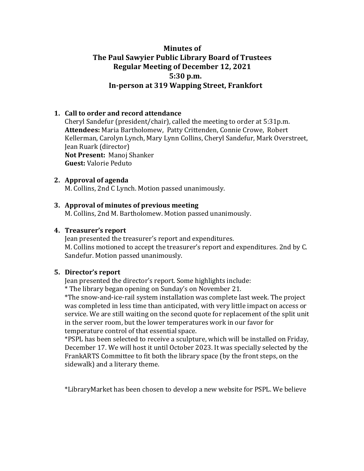# **Minutes** of **The Paul Sawyier Public Library Board of Trustees Regular Meeting of December 12, 2021 5:30 p.m. In-person at 319 Wapping Street, Frankfort**

# **1. Call to order and record attendance**

Cheryl Sandefur (president/chair), called the meeting to order at  $5:31p.m.$ Attendees: Maria Bartholomew, Patty Crittenden, Connie Crowe, Robert Kellerman, Carolyn Lynch, Mary Lynn Collins, Cheryl Sandefur, Mark Overstreet, Jean Ruark (director) **Not Present: Manoj Shanker Guest:** Valorie Peduto

#### **2. Approval** of agenda

M. Collins, 2nd C Lynch. Motion passed unanimously.

### **3.** Approval of minutes of previous meeting

M. Collins, 2nd M. Bartholomew. Motion passed unanimously.

#### **4.** Treasurer's report

Jean presented the treasurer's report and expenditures. M. Collins motioned to accept the treasurer's report and expenditures. 2nd by C. Sandefur. Motion passed unanimously.

### **5.** Director's report

Jean presented the director's report. Some highlights include:

\* The library began opening on Sunday's on November 21. 

\*The snow-and-ice-rail system installation was complete last week. The project was completed in less time than anticipated, with very little impact on access or service. We are still waiting on the second quote for replacement of the split unit in the server room, but the lower temperatures work in our favor for temperature control of that essential space.

\*PSPL has been selected to receive a sculpture, which will be installed on Friday, December 17. We will host it until October 2023. It was specially selected by the FrankARTS Committee to fit both the library space (by the front steps, on the sidewalk) and a literary theme.

\*LibraryMarket has been chosen to develop a new website for PSPL. We believe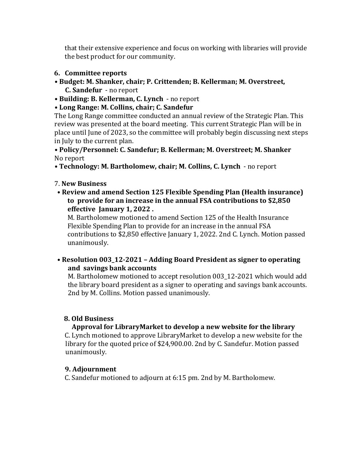that their extensive experience and focus on working with libraries will provide the best product for our community.

#### **6.** Committee reports

- Budget: M. Shanker, chair; P. Crittenden; B. Kellerman; M. Overstreet, **C. Sandefur**  - no report
- Building: B. Kellerman, C. Lynch no report

## **• Long Range: M. Collins, chair; C. Sandefur**

The Long Range committee conducted an annual review of the Strategic Plan. This review was presented at the board meeting. This current Strategic Plan will be in place until June of 2023, so the committee will probably begin discussing next steps in July to the current plan.

**• Policy/Personnel: C. Sandefur; B. Kellerman; M. Overstreet; M. Shanker** No report

• Technology: M. Bartholomew, chair; M. Collins, C. Lynch - no report

### 7. **New Business**

• Review and amend Section 125 Flexible Spending Plan (Health insurance) to provide for an increase in the annual FSA contributions to \$2,850 **effective January 1, 2022.** 

M. Bartholomew motioned to amend Section 125 of the Health Insurance Flexible Spending Plan to provide for an increase in the annual FSA contributions to \$2,850 effective January 1, 2022. 2nd C. Lynch. Motion passed unanimously. 

# • Resolution 003\_12-2021 - Adding Board President as signer to operating and savings bank accounts

M. Bartholomew motioned to accept resolution 003 12-2021 which would add the library board president as a signer to operating and savings bank accounts. 2nd by M. Collins. Motion passed unanimously.

### **8. Old Business**

### Approval for LibraryMarket to develop a new website for the library

C. Lynch motioned to approve LibraryMarket to develop a new website for the library for the quoted price of  $$24,900.00$ . 2nd by C. Sandefur. Motion passed unanimously. 

### **9. Adjournment**

C. Sandefur motioned to adjourn at 6:15 pm. 2nd by M. Bartholomew.